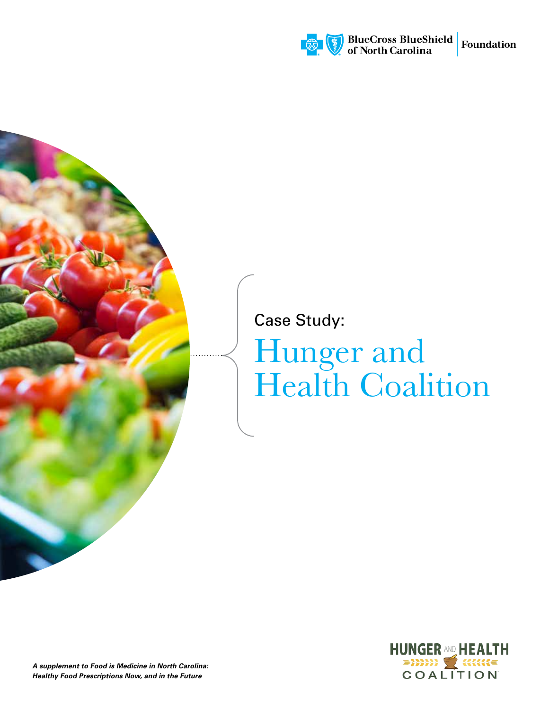

## Case Study:

# Hunger and Health Coalition



*A supplement to Food is Medicine in North Carolina: Healthy Food Prescriptions Now, and in the Future*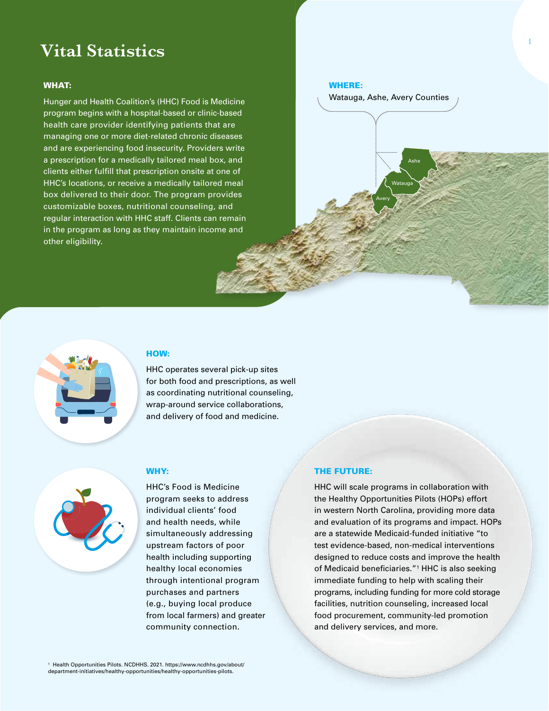## **Vital Statistics**

#### WHAT:

Hunger and Health Coalition's (HHC) Food is Medicine program begins with a hospital-based or clinic-based health care provider identifying patients that are managing one or more diet-related chronic diseases and are experiencing food insecurity. Providers write a prescription for a medically tailored meal box, and clients either fulfill that prescription onsite at one of HHC's locations, or receive a medically tailored meal box delivered to their door. The program provides customizable boxes, nutritional counseling, and regular interaction with HHC staff. Clients can remain in the program as long as they maintain income and other eligibility.

#### WHERE:

Watauga, Ashe, Avery Counties

Watauga

Avery

Ashe

### HOW:

HHC operates several pick-up sites for both food and prescriptions, as well as coordinating nutritional counseling, wrap-around service collaborations, and delivery of food and medicine.



#### WHY:

HHC's Food is Medicine program seeks to address individual clients' food and health needs, while simultaneously addressing upstream factors of poor health including supporting healthy local economies through intentional program purchases and partners (e.g., buying local produce from local farmers) and greater community connection.

#### THE FUTURE:

HHC will scale programs in collaboration with the Healthy Opportunities Pilots (HOPs) effort in western North Carolina, providing more data and evaluation of its programs and impact. HOPs are a statewide Medicaid-funded initiative "to test evidence-based, non-medical interventions designed to reduce costs and improve the health of Medicaid beneficiaries."<sup>1</sup> HHC is also seeking immediate funding to help with scaling their programs, including funding for more cold storage facilities, nutrition counseling, increased local food procurement, community-led promotion and delivery services, and more.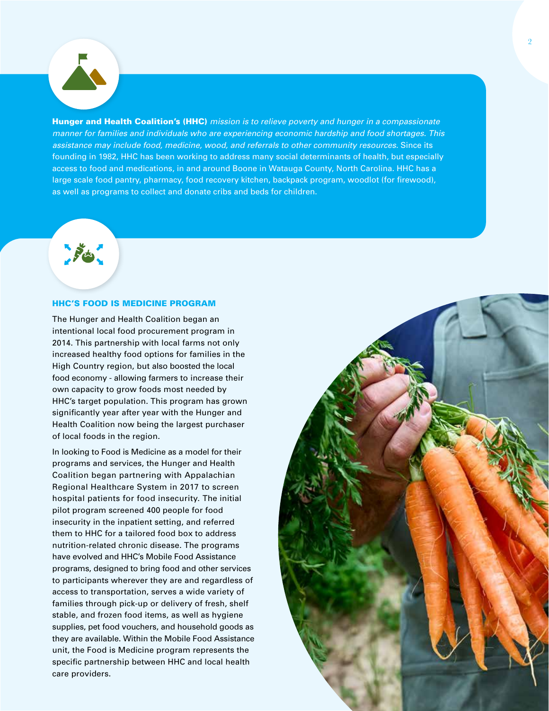**PE** 

Hunger and Health Coalition's (HHC) *mission is to relieve poverty and hunger in a compassionate manner for families and individuals who are experiencing economic hardship and food shortages. This assistance may include food, medicine, wood, and referrals to other community resources.* Since its founding in 1982, HHC has been working to address many social determinants of health, but especially access to food and medications, in and around Boone in Watauga County, North Carolina. HHC has a large scale food pantry, pharmacy, food recovery kitchen, backpack program, woodlot (for firewood), as well as programs to collect and donate cribs and beds for children.

HHC'S FOOD IS MEDICINE PROGRAM

The Hunger and Health Coalition began an intentional local food procurement program in 2014. This partnership with local farms not only increased healthy food options for families in the High Country region, but also boosted the local food economy - allowing farmers to increase their own capacity to grow foods most needed by HHC's target population. This program has grown significantly year after year with the Hunger and Health Coalition now being the largest purchaser of local foods in the region.

In looking to Food is Medicine as a model for their programs and services, the Hunger and Health Coalition began partnering with Appalachian Regional Healthcare System in 2017 to screen hospital patients for food insecurity. The initial pilot program screened 400 people for food insecurity in the inpatient setting, and referred them to HHC for a tailored food box to address nutrition-related chronic disease. The programs have evolved and HHC's Mobile Food Assistance programs, designed to bring food and other services to participants wherever they are and regardless of access to transportation, serves a wide variety of families through pick-up or delivery of fresh, shelf stable, and frozen food items, as well as hygiene supplies, pet food vouchers, and household goods as they are available. Within the Mobile Food Assistance unit, the Food is Medicine program represents the specific partnership between HHC and local health care providers.

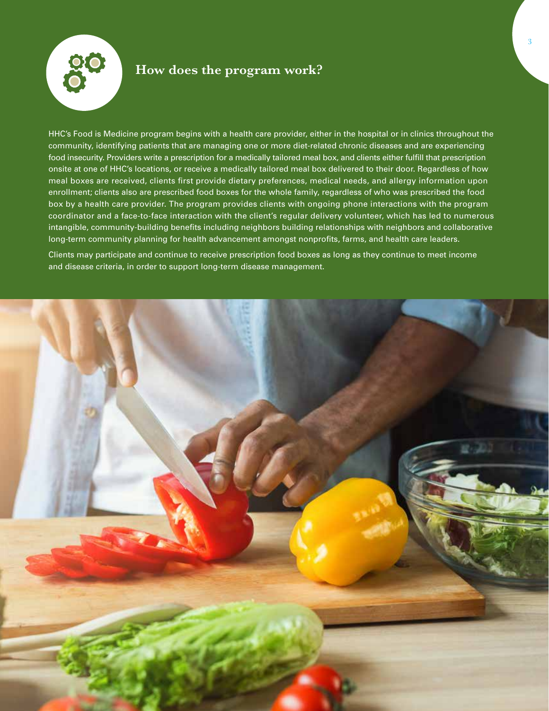

## **How does the program work?**

HHC's Food is Medicine program begins with a health care provider, either in the hospital or in clinics throughout the community, identifying patients that are managing one or more diet-related chronic diseases and are experiencing food insecurity. Providers write a prescription for a medically tailored meal box, and clients either fulfill that prescription onsite at one of HHC's locations, or receive a medically tailored meal box delivered to their door. Regardless of how meal boxes are received, clients first provide dietary preferences, medical needs, and allergy information upon enrollment; clients also are prescribed food boxes for the whole family, regardless of who was prescribed the food box by a health care provider. The program provides clients with ongoing phone interactions with the program coordinator and a face-to-face interaction with the client's regular delivery volunteer, which has led to numerous intangible, community-building benefits including neighbors building relationships with neighbors and collaborative long-term community planning for health advancement amongst nonprofits, farms, and health care leaders.

Clients may participate and continue to receive prescription food boxes as long as they continue to meet income and disease criteria, in order to support long-term disease management.

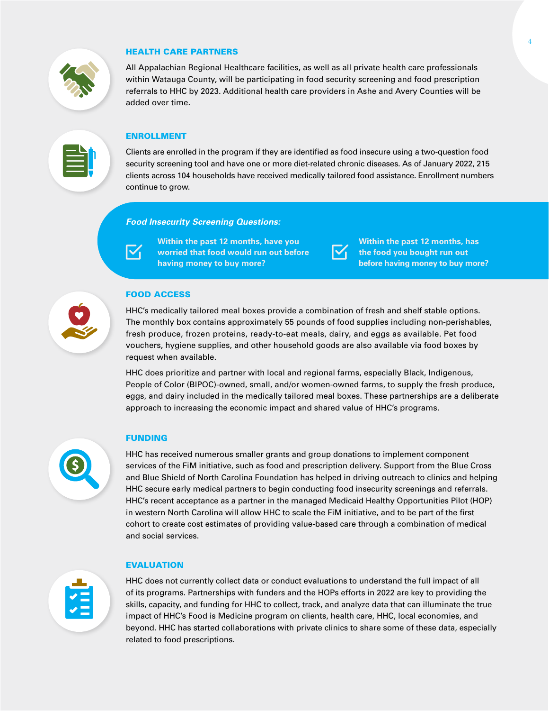

#### HEALTH CARE PARTNERS

All Appalachian Regional Healthcare facilities, as well as all private health care professionals within Watauga County, will be participating in food security screening and food prescription referrals to HHC by 2023. Additional health care providers in Ashe and Avery Counties will be added over time.

#### ENROLLMENT

Clients are enrolled in the program if they are identified as food insecure using a two-question food security screening tool and have one or more diet-related chronic diseases. As of January 2022, 215 clients across 104 households have received medically tailored food assistance. Enrollment numbers continue to grow.

#### *Food Insecurity Screening Questions:*

 $\mathsf{I}\mathsf{V}_1$ 

**Within the past 12 months, have you worried that food would run out before having money to buy more?**



**Within the past 12 months, has the food you bought run out before having money to buy more?**

#### FOOD ACCESS

HHC's medically tailored meal boxes provide a combination of fresh and shelf stable options. The monthly box contains approximately 55 pounds of food supplies including non-perishables, fresh produce, frozen proteins, ready-to-eat meals, dairy, and eggs as available. Pet food vouchers, hygiene supplies, and other household goods are also available via food boxes by request when available.

HHC does prioritize and partner with local and regional farms, especially Black, Indigenous, People of Color (BIPOC)-owned, small, and/or women-owned farms, to supply the fresh produce, eggs, and dairy included in the medically tailored meal boxes. These partnerships are a deliberate approach to increasing the economic impact and shared value of HHC's programs.

#### FUNDING

HHC has received numerous smaller grants and group donations to implement component services of the FiM initiative, such as food and prescription delivery. Support from the Blue Cross and Blue Shield of North Carolina Foundation has helped in driving outreach to clinics and helping HHC secure early medical partners to begin conducting food insecurity screenings and referrals. HHC's recent acceptance as a partner in the managed Medicaid Healthy Opportunities Pilot (HOP) in western North Carolina will allow HHC to scale the FiM initiative, and to be part of the first cohort to create cost estimates of providing value-based care through a combination of medical and social services.

# EVALUATION

HHC does not currently collect data or conduct evaluations to understand the full impact of all of its programs. Partnerships with funders and the HOPs efforts in 2022 are key to providing the skills, capacity, and funding for HHC to collect, track, and analyze data that can illuminate the true impact of HHC's Food is Medicine program on clients, health care, HHC, local economies, and beyond. HHC has started collaborations with private clinics to share some of these data, especially related to food prescriptions.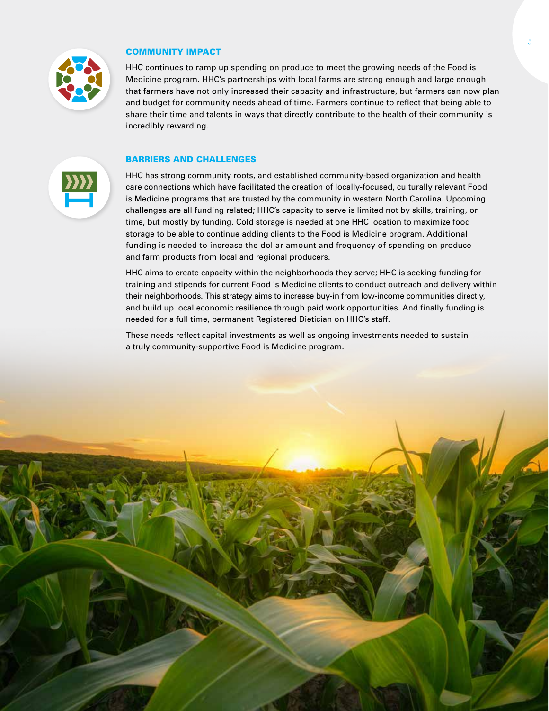

#### COMMUNITY IMPACT

HHC continues to ramp up spending on produce to meet the growing needs of the Food is Medicine program. HHC's partnerships with local farms are strong enough and large enough that farmers have not only increased their capacity and infrastructure, but farmers can now plan and budget for community needs ahead of time. Farmers continue to reflect that being able to share their time and talents in ways that directly contribute to the health of their community is incredibly rewarding.

#### BARRIERS AND CHALLENGES



HHC has strong community roots, and established community-based organization and health care connections which have facilitated the creation of locally-focused, culturally relevant Food is Medicine programs that are trusted by the community in western North Carolina. Upcoming challenges are all funding related; HHC's capacity to serve is limited not by skills, training, or time, but mostly by funding. Cold storage is needed at one HHC location to maximize food storage to be able to continue adding clients to the Food is Medicine program. Additional funding is needed to increase the dollar amount and frequency of spending on produce and farm products from local and regional producers.

HHC aims to create capacity within the neighborhoods they serve; HHC is seeking funding for training and stipends for current Food is Medicine clients to conduct outreach and delivery within their neighborhoods. This strategy aims to increase buy-in from low-income communities directly, and build up local economic resilience through paid work opportunities. And finally funding is needed for a full time, permanent Registered Dietician on HHC's staff.

These needs reflect capital investments as well as ongoing investments needed to sustain a truly community-supportive Food is Medicine program.